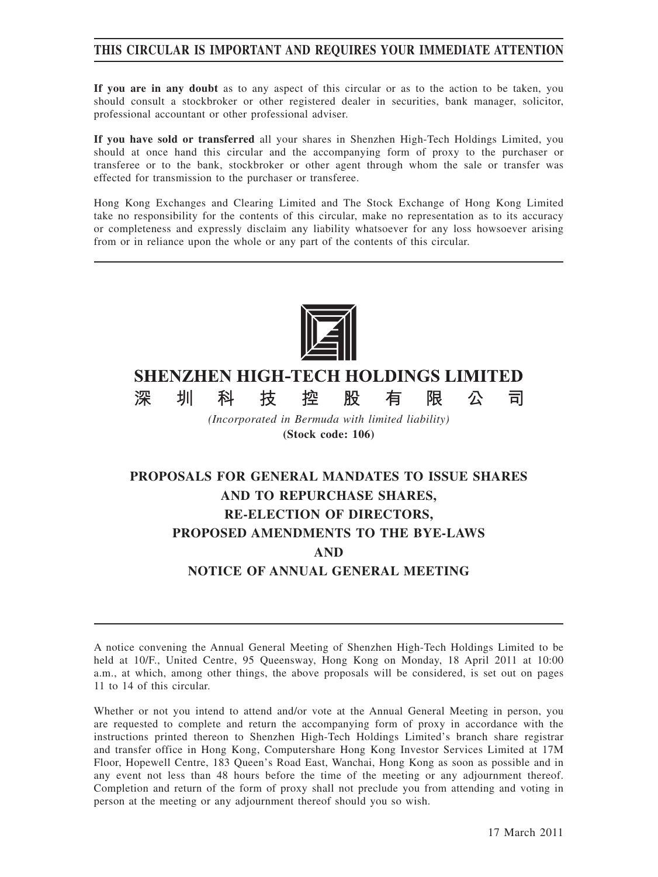## **THIS CIRCULAR IS IMPORTANT AND REQUIRES YOUR IMMEDIATE ATTENTION**

**If you are in any doubt** as to any aspect of this circular or as to the action to be taken, you should consult a stockbroker or other registered dealer in securities, bank manager, solicitor, professional accountant or other professional adviser.

**If you have sold or transferred** all your shares in Shenzhen High-Tech Holdings Limited, you should at once hand this circular and the accompanying form of proxy to the purchaser or transferee or to the bank, stockbroker or other agent through whom the sale or transfer was effected for transmission to the purchaser or transferee.

Hong Kong Exchanges and Clearing Limited and The Stock Exchange of Hong Kong Limited take no responsibility for the contents of this circular, make no representation as to its accuracy or completeness and expressly disclaim any liability whatsoever for any loss howsoever arising from or in reliance upon the whole or any part of the contents of this circular.



# **SHENZHEN HIGH-TECH HOLDINGS LIMITED**

控

技

深

圳

科

*(Incorporated in Bermuda with limited liability)* **(Stock code: 106)**

股

有

限

公

司

# **PROPOSALS FOR GENERAL MANDATES TO ISSUE SHARES AND TO REPURCHASE SHARES, RE-ELECTION OF DIRECTORS, PROPOSED AMENDMENTS TO THE BYE-LAWS AND NOTICE OF ANNUAL GENERAL MEETING**

A notice convening the Annual General Meeting of Shenzhen High-Tech Holdings Limited to be held at 10/F., United Centre, 95 Queensway, Hong Kong on Monday, 18 April 2011 at 10:00 a.m., at which, among other things, the above proposals will be considered, is set out on pages 11 to 14 of this circular.

Whether or not you intend to attend and/or vote at the Annual General Meeting in person, you are requested to complete and return the accompanying form of proxy in accordance with the instructions printed thereon to Shenzhen High-Tech Holdings Limited's branch share registrar and transfer office in Hong Kong, Computershare Hong Kong Investor Services Limited at 17M Floor, Hopewell Centre, 183 Queen's Road East, Wanchai, Hong Kong as soon as possible and in any event not less than 48 hours before the time of the meeting or any adjournment thereof. Completion and return of the form of proxy shall not preclude you from attending and voting in person at the meeting or any adjournment thereof should you so wish.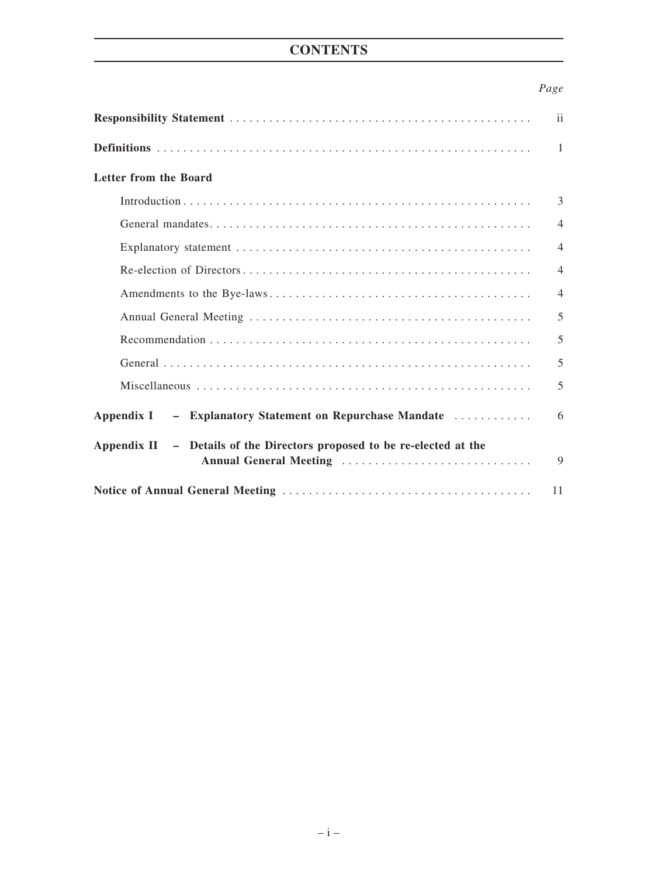# **CONTENTS**

## *Page*

|                                                                                                   | $\mathbf{ii}$  |
|---------------------------------------------------------------------------------------------------|----------------|
|                                                                                                   | $\mathbf{1}$   |
| Letter from the Board                                                                             |                |
|                                                                                                   | 3              |
|                                                                                                   | $\overline{4}$ |
|                                                                                                   | $\overline{4}$ |
|                                                                                                   | $\overline{4}$ |
|                                                                                                   | $\overline{4}$ |
|                                                                                                   | 5              |
|                                                                                                   | 5              |
|                                                                                                   | 5              |
|                                                                                                   | 5              |
| - Explanatory Statement on Repurchase Mandate<br>Appendix I                                       | 6              |
| Appendix II - Details of the Directors proposed to be re-elected at the<br>Annual General Meeting | 9              |
|                                                                                                   | 11             |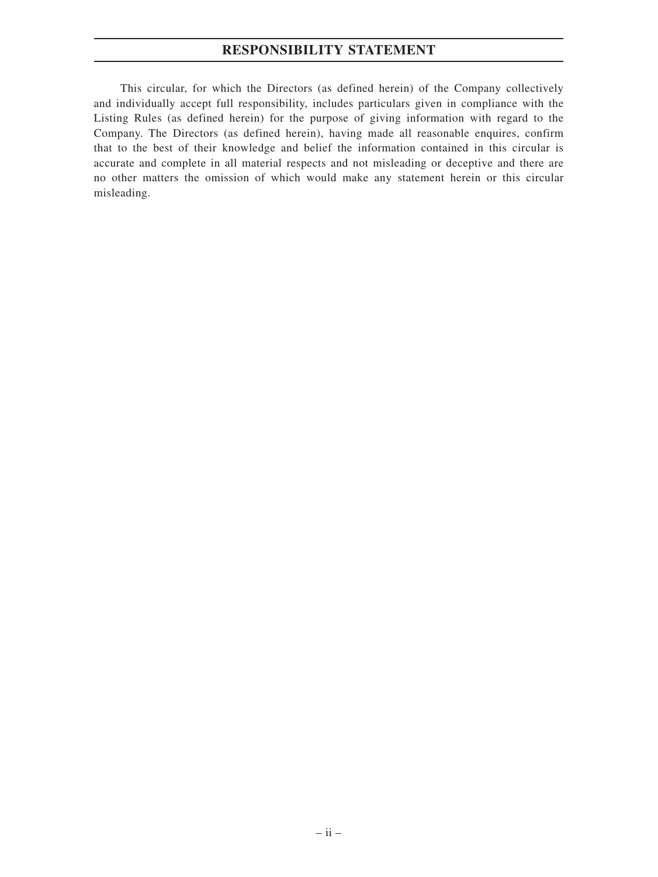## **RESPONSIBILITY STATEMENT**

This circular, for which the Directors (as defined herein) of the Company collectively and individually accept full responsibility, includes particulars given in compliance with the Listing Rules (as defined herein) for the purpose of giving information with regard to the Company. The Directors (as defined herein), having made all reasonable enquires, confirm that to the best of their knowledge and belief the information contained in this circular is accurate and complete in all material respects and not misleading or deceptive and there are no other matters the omission of which would make any statement herein or this circular misleading.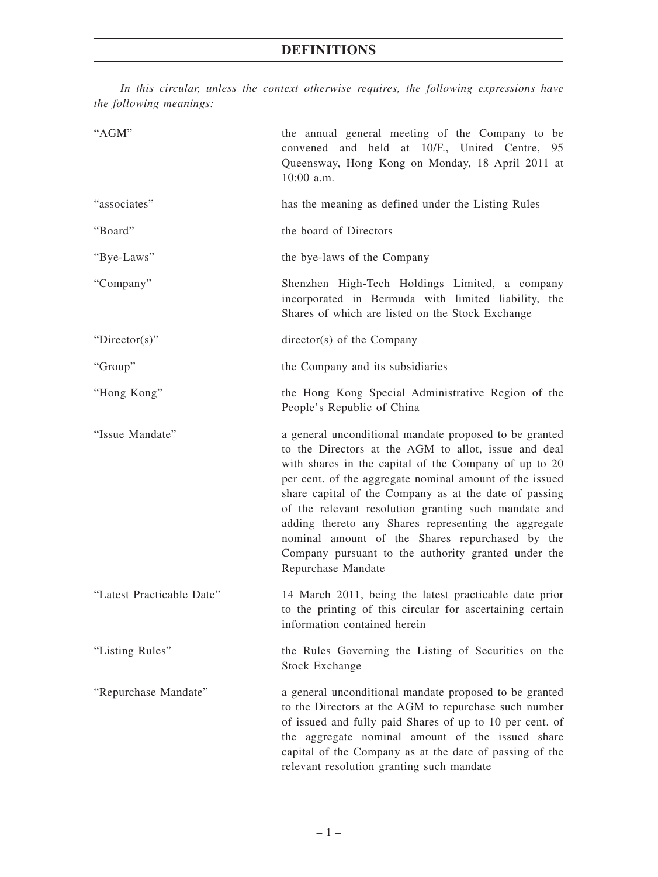*In this circular, unless the context otherwise requires, the following expressions have the following meanings:*

| "AGM"                     | the annual general meeting of the Company to be<br>convened and held at 10/F., United Centre, 95<br>Queensway, Hong Kong on Monday, 18 April 2011 at<br>$10:00$ a.m.                                                                                                                                                                                                                                                                                                                                                                         |
|---------------------------|----------------------------------------------------------------------------------------------------------------------------------------------------------------------------------------------------------------------------------------------------------------------------------------------------------------------------------------------------------------------------------------------------------------------------------------------------------------------------------------------------------------------------------------------|
| "associates"              | has the meaning as defined under the Listing Rules                                                                                                                                                                                                                                                                                                                                                                                                                                                                                           |
| "Board"                   | the board of Directors                                                                                                                                                                                                                                                                                                                                                                                                                                                                                                                       |
| "Bye-Laws"                | the bye-laws of the Company                                                                                                                                                                                                                                                                                                                                                                                                                                                                                                                  |
| "Company"                 | Shenzhen High-Tech Holdings Limited, a company<br>incorporated in Bermuda with limited liability, the<br>Shares of which are listed on the Stock Exchange                                                                                                                                                                                                                                                                                                                                                                                    |
| " $Directory$ "           | director(s) of the Company                                                                                                                                                                                                                                                                                                                                                                                                                                                                                                                   |
| "Group"                   | the Company and its subsidiaries                                                                                                                                                                                                                                                                                                                                                                                                                                                                                                             |
| "Hong Kong"               | the Hong Kong Special Administrative Region of the<br>People's Republic of China                                                                                                                                                                                                                                                                                                                                                                                                                                                             |
| "Issue Mandate"           | a general unconditional mandate proposed to be granted<br>to the Directors at the AGM to allot, issue and deal<br>with shares in the capital of the Company of up to 20<br>per cent. of the aggregate nominal amount of the issued<br>share capital of the Company as at the date of passing<br>of the relevant resolution granting such mandate and<br>adding thereto any Shares representing the aggregate<br>nominal amount of the Shares repurchased by the<br>Company pursuant to the authority granted under the<br>Repurchase Mandate |
| "Latest Practicable Date" | 14 March 2011, being the latest practicable date prior<br>to the printing of this circular for ascertaining certain<br>information contained herein                                                                                                                                                                                                                                                                                                                                                                                          |
| "Listing Rules"           | the Rules Governing the Listing of Securities on the<br><b>Stock Exchange</b>                                                                                                                                                                                                                                                                                                                                                                                                                                                                |
| "Repurchase Mandate"      | a general unconditional mandate proposed to be granted<br>to the Directors at the AGM to repurchase such number<br>of issued and fully paid Shares of up to 10 per cent. of<br>the aggregate nominal amount of the issued share<br>capital of the Company as at the date of passing of the<br>relevant resolution granting such mandate                                                                                                                                                                                                      |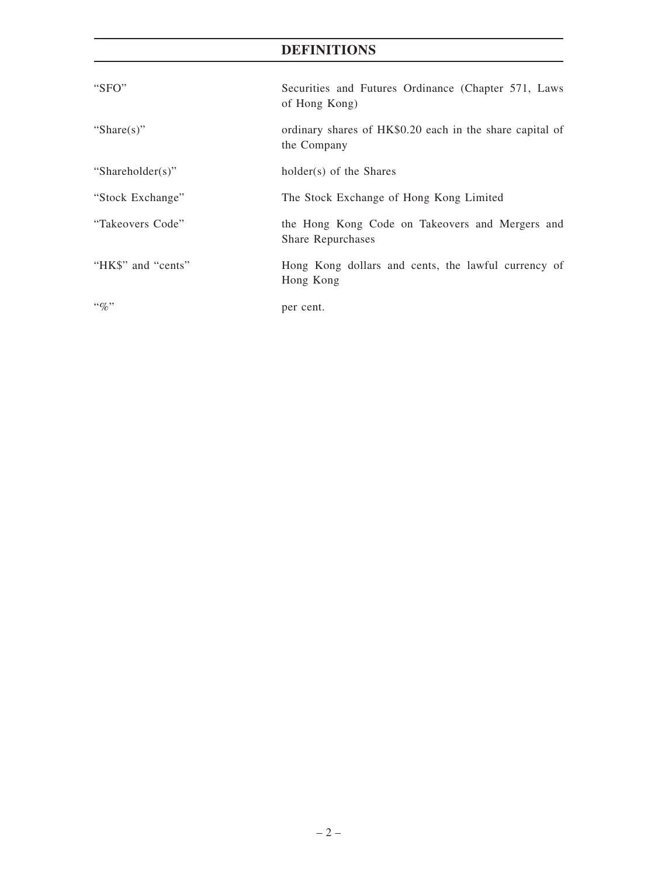# **DEFINITIONS**

| "SFO"              | Securities and Futures Ordinance (Chapter 571, Laws<br>of Hong Kong)    |
|--------------------|-------------------------------------------------------------------------|
| "Share(s)"         | ordinary shares of HK\$0.20 each in the share capital of<br>the Company |
| "Shareholder(s)"   | holder(s) of the Shares                                                 |
| "Stock Exchange"   | The Stock Exchange of Hong Kong Limited                                 |
| "Takeovers Code"   | the Hong Kong Code on Takeovers and Mergers and<br>Share Repurchases    |
| "HK\$" and "cents" | Hong Kong dollars and cents, the lawful currency of<br>Hong Kong        |
| $\lq\lq q_0$       | per cent.                                                               |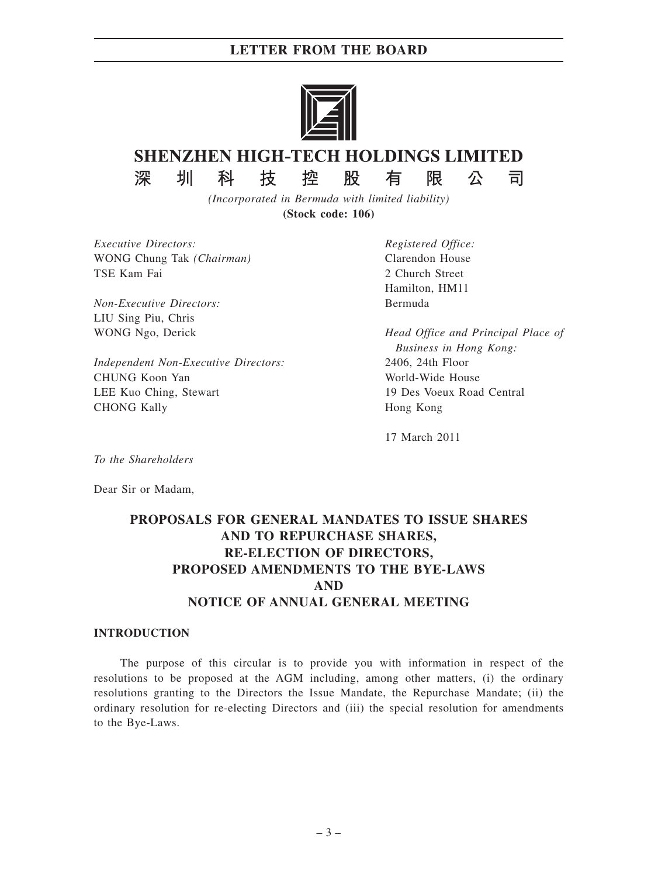## **LETTER FROM THE BOARD**



# **SHENZHEN HIGH-TECH HOLDINGS LIMITED**

深

控

技

股

有

*(Incorporated in Bermuda with limited liability)* **(Stock code: 106)**

*Executive Directors:* WONG Chung Tak *(Chairman)* TSE Kam Fai

圳

科

*Non-Executive Directors:* LIU Sing Piu, Chris WONG Ngo, Derick

*Independent Non-Executive Directors:* CHUNG Koon Yan LEE Kuo Ching, Stewart CHONG Kally

*Registered Office:* Clarendon House 2 Church Street Hamilton, HM11 Bermuda

限

*Head Office and Principal Place of Business in Hong Kong:* 2406, 24th Floor World-Wide House 19 Des Voeux Road Central Hong Kong

公

司

17 March 2011

*To the Shareholders*

Dear Sir or Madam,

# **PROPOSALS FOR GENERAL MANDATES TO ISSUE SHARES AND TO REPURCHASE SHARES, RE-ELECTION OF DIRECTORS, PROPOSED AMENDMENTS TO THE BYE-LAWS AND NOTICE OF ANNUAL GENERAL MEETING**

### **INTRODUCTION**

The purpose of this circular is to provide you with information in respect of the resolutions to be proposed at the AGM including, among other matters, (i) the ordinary resolutions granting to the Directors the Issue Mandate, the Repurchase Mandate; (ii) the ordinary resolution for re-electing Directors and (iii) the special resolution for amendments to the Bye-Laws.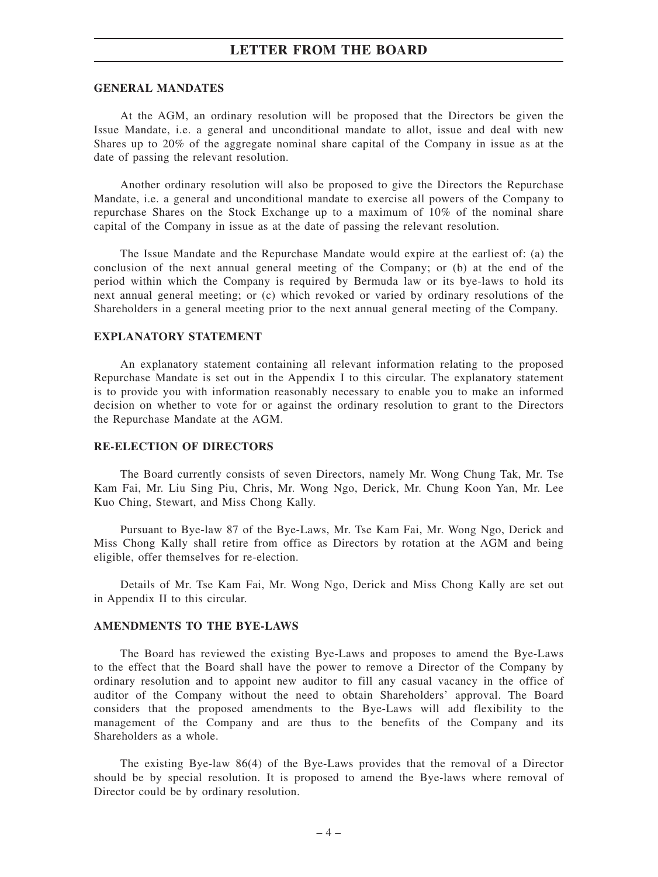## **LETTER FROM THE BOARD**

#### **GENERAL MANDATES**

At the AGM, an ordinary resolution will be proposed that the Directors be given the Issue Mandate, i.e. a general and unconditional mandate to allot, issue and deal with new Shares up to 20% of the aggregate nominal share capital of the Company in issue as at the date of passing the relevant resolution.

Another ordinary resolution will also be proposed to give the Directors the Repurchase Mandate, i.e. a general and unconditional mandate to exercise all powers of the Company to repurchase Shares on the Stock Exchange up to a maximum of 10% of the nominal share capital of the Company in issue as at the date of passing the relevant resolution.

The Issue Mandate and the Repurchase Mandate would expire at the earliest of: (a) the conclusion of the next annual general meeting of the Company; or (b) at the end of the period within which the Company is required by Bermuda law or its bye-laws to hold its next annual general meeting; or (c) which revoked or varied by ordinary resolutions of the Shareholders in a general meeting prior to the next annual general meeting of the Company.

#### **EXPLANATORY STATEMENT**

An explanatory statement containing all relevant information relating to the proposed Repurchase Mandate is set out in the Appendix I to this circular. The explanatory statement is to provide you with information reasonably necessary to enable you to make an informed decision on whether to vote for or against the ordinary resolution to grant to the Directors the Repurchase Mandate at the AGM.

#### **RE-ELECTION OF DIRECTORS**

The Board currently consists of seven Directors, namely Mr. Wong Chung Tak, Mr. Tse Kam Fai, Mr. Liu Sing Piu, Chris, Mr. Wong Ngo, Derick, Mr. Chung Koon Yan, Mr. Lee Kuo Ching, Stewart, and Miss Chong Kally.

Pursuant to Bye-law 87 of the Bye-Laws, Mr. Tse Kam Fai, Mr. Wong Ngo, Derick and Miss Chong Kally shall retire from office as Directors by rotation at the AGM and being eligible, offer themselves for re-election.

Details of Mr. Tse Kam Fai, Mr. Wong Ngo, Derick and Miss Chong Kally are set out in Appendix II to this circular.

#### **AMENDMENTS TO THE BYE-LAWS**

The Board has reviewed the existing Bye-Laws and proposes to amend the Bye-Laws to the effect that the Board shall have the power to remove a Director of the Company by ordinary resolution and to appoint new auditor to fill any casual vacancy in the office of auditor of the Company without the need to obtain Shareholders' approval. The Board considers that the proposed amendments to the Bye-Laws will add flexibility to the management of the Company and are thus to the benefits of the Company and its Shareholders as a whole.

The existing Bye-law 86(4) of the Bye-Laws provides that the removal of a Director should be by special resolution. It is proposed to amend the Bye-laws where removal of Director could be by ordinary resolution.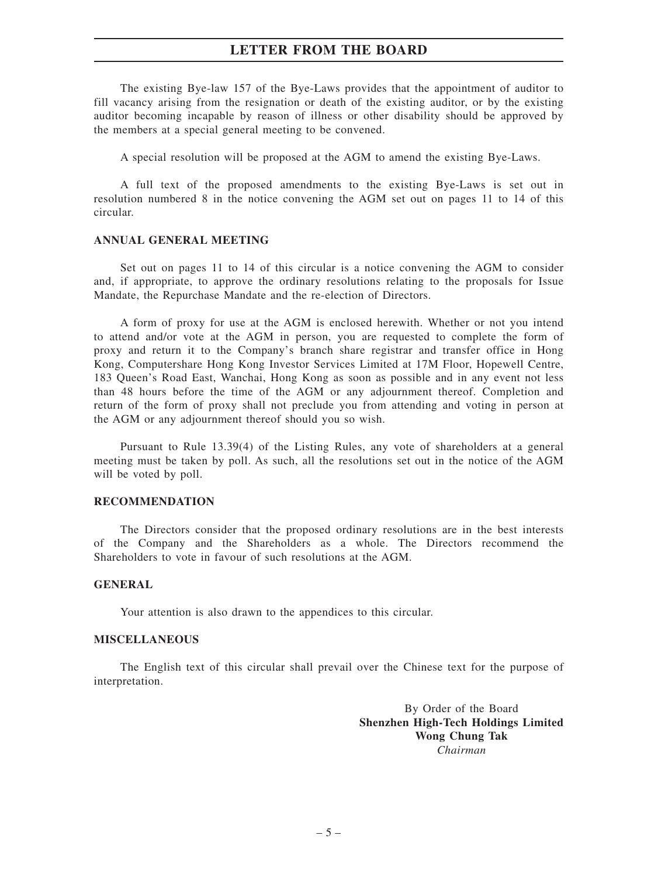## **LETTER FROM THE BOARD**

The existing Bye-law 157 of the Bye-Laws provides that the appointment of auditor to fill vacancy arising from the resignation or death of the existing auditor, or by the existing auditor becoming incapable by reason of illness or other disability should be approved by the members at a special general meeting to be convened.

A special resolution will be proposed at the AGM to amend the existing Bye-Laws.

A full text of the proposed amendments to the existing Bye-Laws is set out in resolution numbered 8 in the notice convening the AGM set out on pages 11 to 14 of this circular.

#### **ANNUAL GENERAL MEETING**

Set out on pages 11 to 14 of this circular is a notice convening the AGM to consider and, if appropriate, to approve the ordinary resolutions relating to the proposals for Issue Mandate, the Repurchase Mandate and the re-election of Directors.

A form of proxy for use at the AGM is enclosed herewith. Whether or not you intend to attend and/or vote at the AGM in person, you are requested to complete the form of proxy and return it to the Company's branch share registrar and transfer office in Hong Kong, Computershare Hong Kong Investor Services Limited at 17M Floor, Hopewell Centre, 183 Queen's Road East, Wanchai, Hong Kong as soon as possible and in any event not less than 48 hours before the time of the AGM or any adjournment thereof. Completion and return of the form of proxy shall not preclude you from attending and voting in person at the AGM or any adjournment thereof should you so wish.

Pursuant to Rule 13.39(4) of the Listing Rules, any vote of shareholders at a general meeting must be taken by poll. As such, all the resolutions set out in the notice of the AGM will be voted by poll.

#### **RECOMMENDATION**

The Directors consider that the proposed ordinary resolutions are in the best interests of the Company and the Shareholders as a whole. The Directors recommend the Shareholders to vote in favour of such resolutions at the AGM.

#### **GENERAL**

Your attention is also drawn to the appendices to this circular.

#### **MISCELLANEOUS**

The English text of this circular shall prevail over the Chinese text for the purpose of interpretation.

> By Order of the Board **Shenzhen High-Tech Holdings Limited Wong Chung Tak** *Chairman*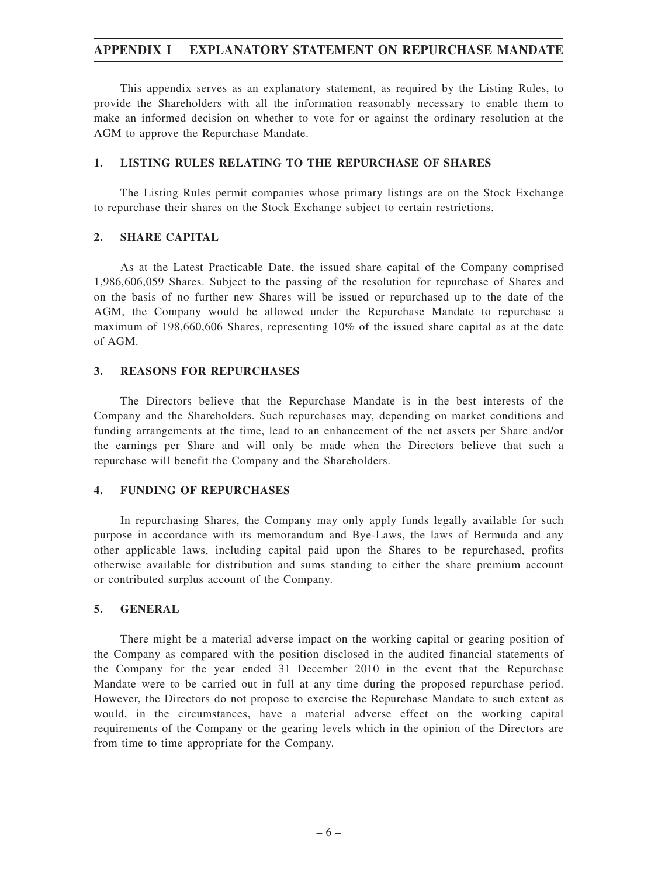## **APPENDIX I EXPLANATORY STATEMENT ON REPURCHASE MANDATE**

This appendix serves as an explanatory statement, as required by the Listing Rules, to provide the Shareholders with all the information reasonably necessary to enable them to make an informed decision on whether to vote for or against the ordinary resolution at the AGM to approve the Repurchase Mandate.

#### **1. LISTING RULES RELATING TO THE REPURCHASE OF SHARES**

The Listing Rules permit companies whose primary listings are on the Stock Exchange to repurchase their shares on the Stock Exchange subject to certain restrictions.

#### **2. SHARE CAPITAL**

As at the Latest Practicable Date, the issued share capital of the Company comprised 1,986,606,059 Shares. Subject to the passing of the resolution for repurchase of Shares and on the basis of no further new Shares will be issued or repurchased up to the date of the AGM, the Company would be allowed under the Repurchase Mandate to repurchase a maximum of 198,660,606 Shares, representing 10% of the issued share capital as at the date of AGM.

#### **3. REASONS FOR REPURCHASES**

The Directors believe that the Repurchase Mandate is in the best interests of the Company and the Shareholders. Such repurchases may, depending on market conditions and funding arrangements at the time, lead to an enhancement of the net assets per Share and/or the earnings per Share and will only be made when the Directors believe that such a repurchase will benefit the Company and the Shareholders.

### **4. FUNDING OF REPURCHASES**

In repurchasing Shares, the Company may only apply funds legally available for such purpose in accordance with its memorandum and Bye-Laws, the laws of Bermuda and any other applicable laws, including capital paid upon the Shares to be repurchased, profits otherwise available for distribution and sums standing to either the share premium account or contributed surplus account of the Company.

### **5. GENERAL**

There might be a material adverse impact on the working capital or gearing position of the Company as compared with the position disclosed in the audited financial statements of the Company for the year ended 31 December 2010 in the event that the Repurchase Mandate were to be carried out in full at any time during the proposed repurchase period. However, the Directors do not propose to exercise the Repurchase Mandate to such extent as would, in the circumstances, have a material adverse effect on the working capital requirements of the Company or the gearing levels which in the opinion of the Directors are from time to time appropriate for the Company.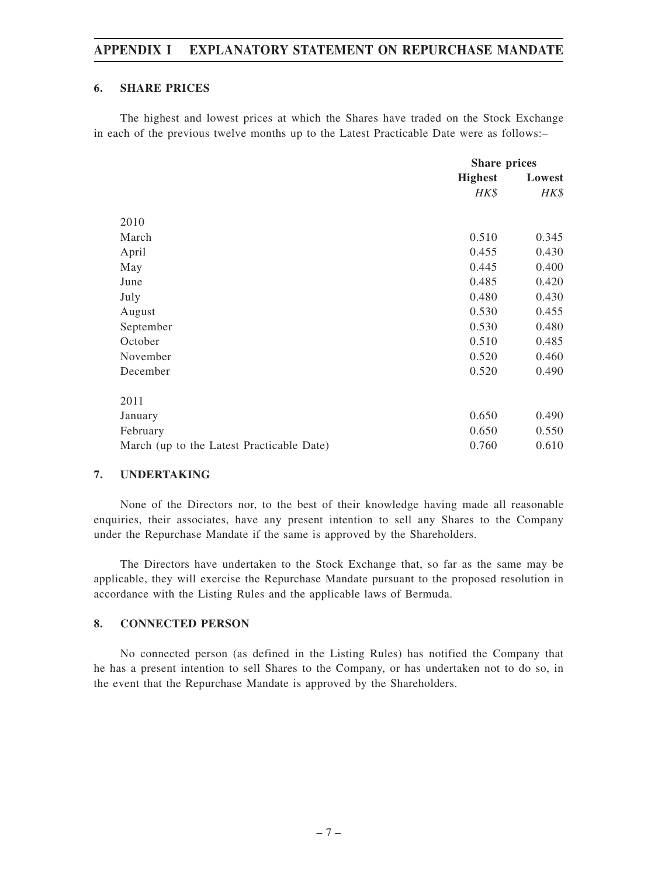## **APPENDIX I EXPLANATORY STATEMENT ON REPURCHASE MANDATE**

### **6. SHARE PRICES**

The highest and lowest prices at which the Shares have traded on the Stock Exchange in each of the previous twelve months up to the Latest Practicable Date were as follows:–

|                                           | <b>Share prices</b> |        |
|-------------------------------------------|---------------------|--------|
|                                           | <b>Highest</b>      | Lowest |
|                                           | $H K$ \$            | HK\$   |
|                                           |                     |        |
| 2010                                      |                     |        |
| March                                     | 0.510               | 0.345  |
| April                                     | 0.455               | 0.430  |
| May                                       | 0.445               | 0.400  |
| June                                      | 0.485               | 0.420  |
| July                                      | 0.480               | 0.430  |
| August                                    | 0.530               | 0.455  |
| September                                 | 0.530               | 0.480  |
| October                                   | 0.510               | 0.485  |
| November                                  | 0.520               | 0.460  |
| December                                  | 0.520               | 0.490  |
| 2011                                      |                     |        |
| January                                   | 0.650               | 0.490  |
| February                                  | 0.650               | 0.550  |
| March (up to the Latest Practicable Date) | 0.760               | 0.610  |

#### **7. UNDERTAKING**

None of the Directors nor, to the best of their knowledge having made all reasonable enquiries, their associates, have any present intention to sell any Shares to the Company under the Repurchase Mandate if the same is approved by the Shareholders.

The Directors have undertaken to the Stock Exchange that, so far as the same may be applicable, they will exercise the Repurchase Mandate pursuant to the proposed resolution in accordance with the Listing Rules and the applicable laws of Bermuda.

### **8. CONNECTED PERSON**

No connected person (as defined in the Listing Rules) has notified the Company that he has a present intention to sell Shares to the Company, or has undertaken not to do so, in the event that the Repurchase Mandate is approved by the Shareholders.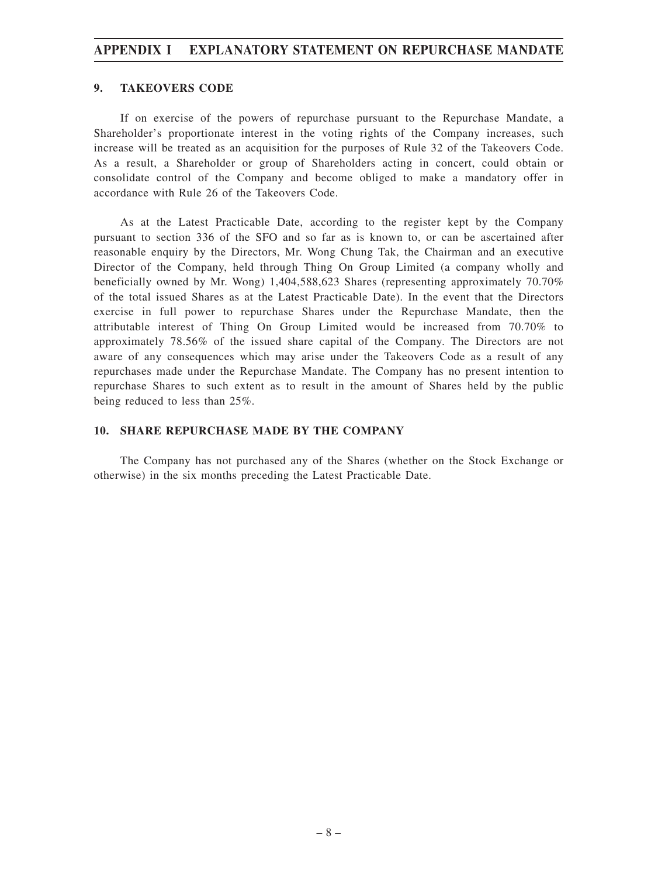## **APPENDIX I EXPLANATORY STATEMENT ON REPURCHASE MANDATE**

#### **9. TAKEOVERS CODE**

If on exercise of the powers of repurchase pursuant to the Repurchase Mandate, a Shareholder's proportionate interest in the voting rights of the Company increases, such increase will be treated as an acquisition for the purposes of Rule 32 of the Takeovers Code. As a result, a Shareholder or group of Shareholders acting in concert, could obtain or consolidate control of the Company and become obliged to make a mandatory offer in accordance with Rule 26 of the Takeovers Code.

As at the Latest Practicable Date, according to the register kept by the Company pursuant to section 336 of the SFO and so far as is known to, or can be ascertained after reasonable enquiry by the Directors, Mr. Wong Chung Tak, the Chairman and an executive Director of the Company, held through Thing On Group Limited (a company wholly and beneficially owned by Mr. Wong) 1,404,588,623 Shares (representing approximately 70.70% of the total issued Shares as at the Latest Practicable Date). In the event that the Directors exercise in full power to repurchase Shares under the Repurchase Mandate, then the attributable interest of Thing On Group Limited would be increased from 70.70% to approximately 78.56% of the issued share capital of the Company. The Directors are not aware of any consequences which may arise under the Takeovers Code as a result of any repurchases made under the Repurchase Mandate. The Company has no present intention to repurchase Shares to such extent as to result in the amount of Shares held by the public being reduced to less than 25%.

#### **10. SHARE REPURCHASE MADE BY THE COMPANY**

The Company has not purchased any of the Shares (whether on the Stock Exchange or otherwise) in the six months preceding the Latest Practicable Date.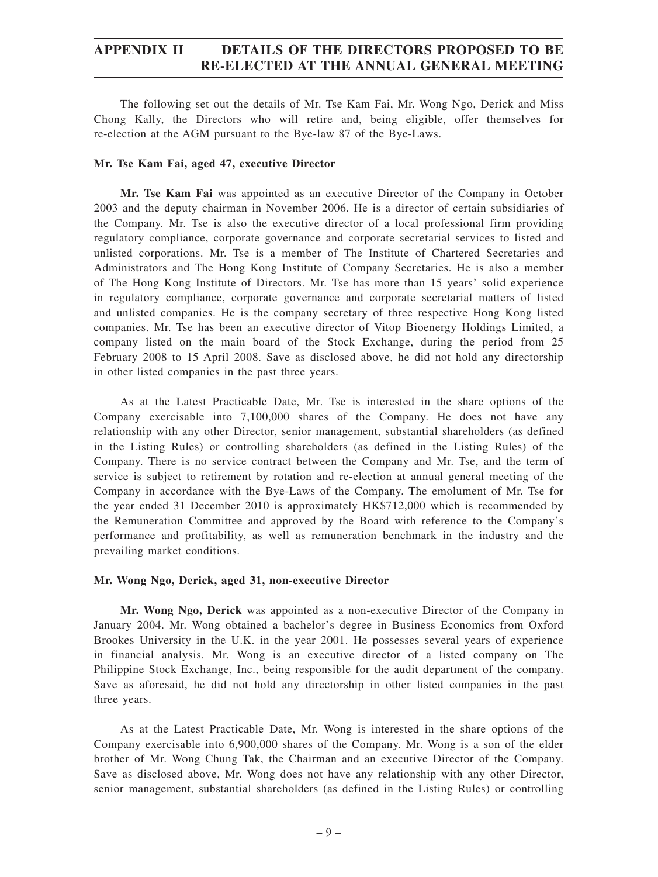## **APPENDIX II DETAILS OF THE DIRECTORS PROPOSED TO BE RE-ELECTED AT THE ANNUAL GENERAL MEETING**

The following set out the details of Mr. Tse Kam Fai, Mr. Wong Ngo, Derick and Miss Chong Kally, the Directors who will retire and, being eligible, offer themselves for re-election at the AGM pursuant to the Bye-law 87 of the Bye-Laws.

#### **Mr. Tse Kam Fai, aged 47, executive Director**

**Mr. Tse Kam Fai** was appointed as an executive Director of the Company in October 2003 and the deputy chairman in November 2006. He is a director of certain subsidiaries of the Company. Mr. Tse is also the executive director of a local professional firm providing regulatory compliance, corporate governance and corporate secretarial services to listed and unlisted corporations. Mr. Tse is a member of The Institute of Chartered Secretaries and Administrators and The Hong Kong Institute of Company Secretaries. He is also a member of The Hong Kong Institute of Directors. Mr. Tse has more than 15 years' solid experience in regulatory compliance, corporate governance and corporate secretarial matters of listed and unlisted companies. He is the company secretary of three respective Hong Kong listed companies. Mr. Tse has been an executive director of Vitop Bioenergy Holdings Limited, a company listed on the main board of the Stock Exchange, during the period from 25 February 2008 to 15 April 2008. Save as disclosed above, he did not hold any directorship in other listed companies in the past three years.

As at the Latest Practicable Date, Mr. Tse is interested in the share options of the Company exercisable into 7,100,000 shares of the Company. He does not have any relationship with any other Director, senior management, substantial shareholders (as defined in the Listing Rules) or controlling shareholders (as defined in the Listing Rules) of the Company. There is no service contract between the Company and Mr. Tse, and the term of service is subject to retirement by rotation and re-election at annual general meeting of the Company in accordance with the Bye-Laws of the Company. The emolument of Mr. Tse for the year ended 31 December 2010 is approximately HK\$712,000 which is recommended by the Remuneration Committee and approved by the Board with reference to the Company's performance and profitability, as well as remuneration benchmark in the industry and the prevailing market conditions.

#### **Mr. Wong Ngo, Derick, aged 31, non-executive Director**

**Mr. Wong Ngo, Derick** was appointed as a non-executive Director of the Company in January 2004. Mr. Wong obtained a bachelor's degree in Business Economics from Oxford Brookes University in the U.K. in the year 2001. He possesses several years of experience in financial analysis. Mr. Wong is an executive director of a listed company on The Philippine Stock Exchange, Inc., being responsible for the audit department of the company. Save as aforesaid, he did not hold any directorship in other listed companies in the past three years.

As at the Latest Practicable Date, Mr. Wong is interested in the share options of the Company exercisable into 6,900,000 shares of the Company. Mr. Wong is a son of the elder brother of Mr. Wong Chung Tak, the Chairman and an executive Director of the Company. Save as disclosed above, Mr. Wong does not have any relationship with any other Director, senior management, substantial shareholders (as defined in the Listing Rules) or controlling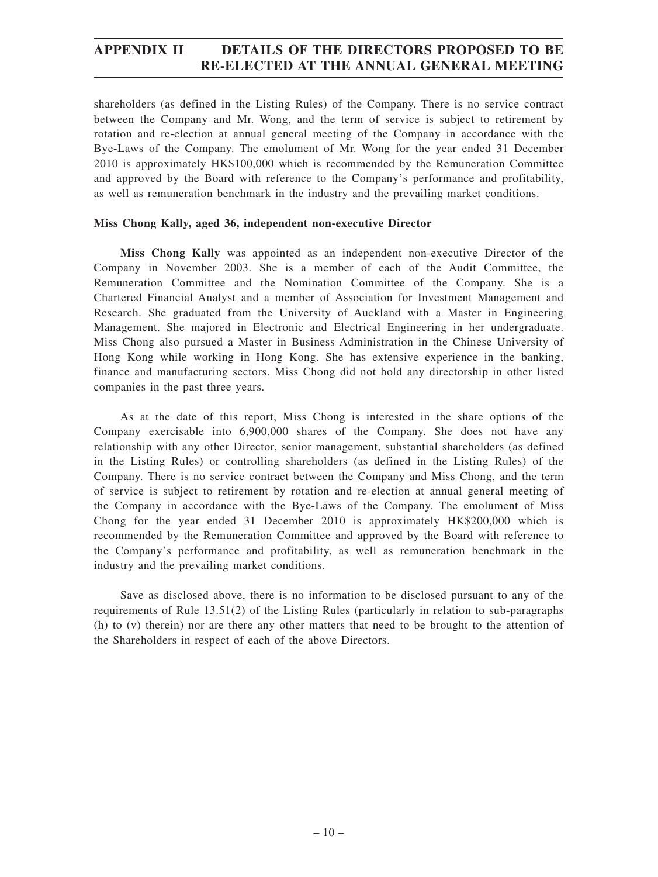## **APPENDIX II DETAILS OF THE DIRECTORS PROPOSED TO BE RE-ELECTED AT THE ANNUAL GENERAL MEETING**

shareholders (as defined in the Listing Rules) of the Company. There is no service contract between the Company and Mr. Wong, and the term of service is subject to retirement by rotation and re-election at annual general meeting of the Company in accordance with the Bye-Laws of the Company. The emolument of Mr. Wong for the year ended 31 December 2010 is approximately HK\$100,000 which is recommended by the Remuneration Committee and approved by the Board with reference to the Company's performance and profitability, as well as remuneration benchmark in the industry and the prevailing market conditions.

#### **Miss Chong Kally, aged 36, independent non-executive Director**

**Miss Chong Kally** was appointed as an independent non-executive Director of the Company in November 2003. She is a member of each of the Audit Committee, the Remuneration Committee and the Nomination Committee of the Company. She is a Chartered Financial Analyst and a member of Association for Investment Management and Research. She graduated from the University of Auckland with a Master in Engineering Management. She majored in Electronic and Electrical Engineering in her undergraduate. Miss Chong also pursued a Master in Business Administration in the Chinese University of Hong Kong while working in Hong Kong. She has extensive experience in the banking, finance and manufacturing sectors. Miss Chong did not hold any directorship in other listed companies in the past three years.

As at the date of this report, Miss Chong is interested in the share options of the Company exercisable into 6,900,000 shares of the Company. She does not have any relationship with any other Director, senior management, substantial shareholders (as defined in the Listing Rules) or controlling shareholders (as defined in the Listing Rules) of the Company. There is no service contract between the Company and Miss Chong, and the term of service is subject to retirement by rotation and re-election at annual general meeting of the Company in accordance with the Bye-Laws of the Company. The emolument of Miss Chong for the year ended 31 December 2010 is approximately HK\$200,000 which is recommended by the Remuneration Committee and approved by the Board with reference to the Company's performance and profitability, as well as remuneration benchmark in the industry and the prevailing market conditions.

Save as disclosed above, there is no information to be disclosed pursuant to any of the requirements of Rule 13.51(2) of the Listing Rules (particularly in relation to sub-paragraphs (h) to (v) therein) nor are there any other matters that need to be brought to the attention of the Shareholders in respect of each of the above Directors.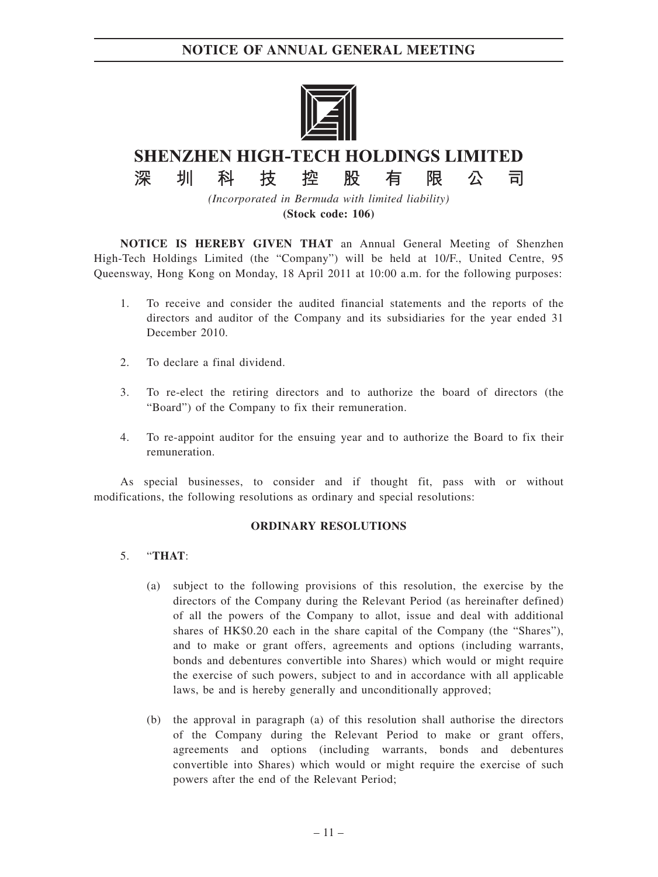

# **SHENZHEN HIGH-TECH HOLDINGS LIMITED**

股

限

有

公

司

控

技

*(Incorporated in Bermuda with limited liability)* **(Stock code: 106)**

**NOTICE IS HEREBY GIVEN THAT** an Annual General Meeting of Shenzhen High-Tech Holdings Limited (the "Company") will be held at 10/F., United Centre, 95 Queensway, Hong Kong on Monday, 18 April 2011 at 10:00 a.m. for the following purposes:

- 1. To receive and consider the audited financial statements and the reports of the directors and auditor of the Company and its subsidiaries for the year ended 31 December 2010.
- 2. To declare a final dividend.
- 3. To re-elect the retiring directors and to authorize the board of directors (the "Board") of the Company to fix their remuneration.
- 4. To re-appoint auditor for the ensuing year and to authorize the Board to fix their remuneration.

As special businesses, to consider and if thought fit, pass with or without modifications, the following resolutions as ordinary and special resolutions:

#### **ORDINARY RESOLUTIONS**

#### 5. "**THAT**:

深

圳

科

- (a) subject to the following provisions of this resolution, the exercise by the directors of the Company during the Relevant Period (as hereinafter defined) of all the powers of the Company to allot, issue and deal with additional shares of HK\$0.20 each in the share capital of the Company (the "Shares"), and to make or grant offers, agreements and options (including warrants, bonds and debentures convertible into Shares) which would or might require the exercise of such powers, subject to and in accordance with all applicable laws, be and is hereby generally and unconditionally approved;
- (b) the approval in paragraph (a) of this resolution shall authorise the directors of the Company during the Relevant Period to make or grant offers, agreements and options (including warrants, bonds and debentures convertible into Shares) which would or might require the exercise of such powers after the end of the Relevant Period;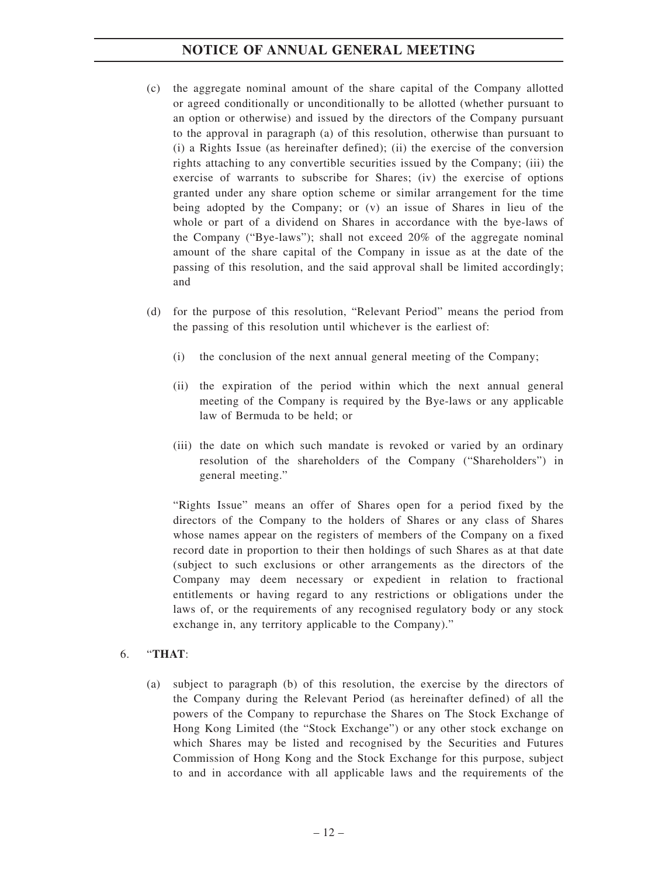- (c) the aggregate nominal amount of the share capital of the Company allotted or agreed conditionally or unconditionally to be allotted (whether pursuant to an option or otherwise) and issued by the directors of the Company pursuant to the approval in paragraph (a) of this resolution, otherwise than pursuant to (i) a Rights Issue (as hereinafter defined); (ii) the exercise of the conversion rights attaching to any convertible securities issued by the Company; (iii) the exercise of warrants to subscribe for Shares; (iv) the exercise of options granted under any share option scheme or similar arrangement for the time being adopted by the Company; or (v) an issue of Shares in lieu of the whole or part of a dividend on Shares in accordance with the bye-laws of the Company ("Bye-laws"); shall not exceed 20% of the aggregate nominal amount of the share capital of the Company in issue as at the date of the passing of this resolution, and the said approval shall be limited accordingly; and
- (d) for the purpose of this resolution, "Relevant Period" means the period from the passing of this resolution until whichever is the earliest of:
	- (i) the conclusion of the next annual general meeting of the Company;
	- (ii) the expiration of the period within which the next annual general meeting of the Company is required by the Bye-laws or any applicable law of Bermuda to be held; or
	- (iii) the date on which such mandate is revoked or varied by an ordinary resolution of the shareholders of the Company ("Shareholders") in general meeting."

"Rights Issue" means an offer of Shares open for a period fixed by the directors of the Company to the holders of Shares or any class of Shares whose names appear on the registers of members of the Company on a fixed record date in proportion to their then holdings of such Shares as at that date (subject to such exclusions or other arrangements as the directors of the Company may deem necessary or expedient in relation to fractional entitlements or having regard to any restrictions or obligations under the laws of, or the requirements of any recognised regulatory body or any stock exchange in, any territory applicable to the Company)."

## 6. "**THAT**:

(a) subject to paragraph (b) of this resolution, the exercise by the directors of the Company during the Relevant Period (as hereinafter defined) of all the powers of the Company to repurchase the Shares on The Stock Exchange of Hong Kong Limited (the "Stock Exchange") or any other stock exchange on which Shares may be listed and recognised by the Securities and Futures Commission of Hong Kong and the Stock Exchange for this purpose, subject to and in accordance with all applicable laws and the requirements of the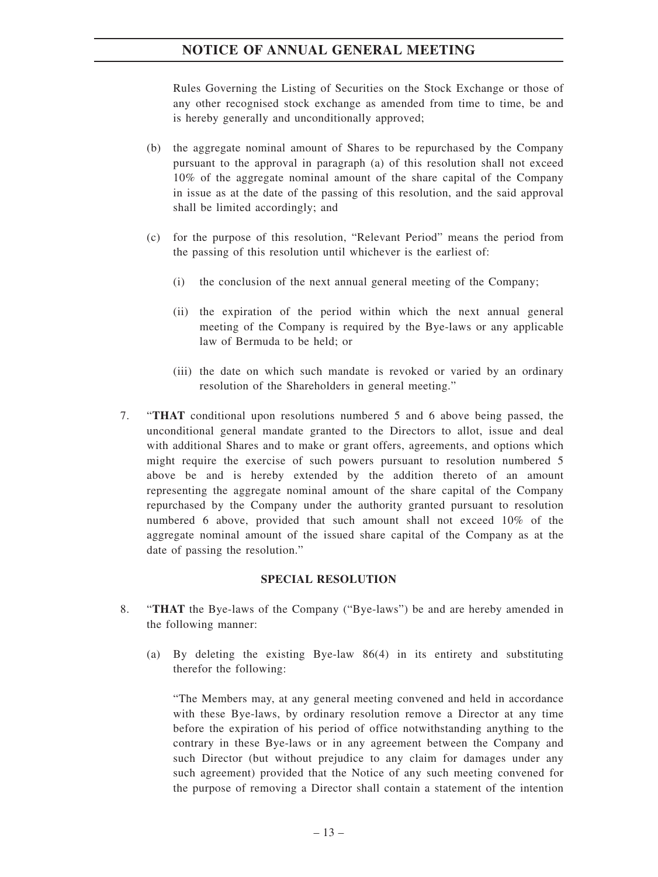Rules Governing the Listing of Securities on the Stock Exchange or those of any other recognised stock exchange as amended from time to time, be and is hereby generally and unconditionally approved;

- (b) the aggregate nominal amount of Shares to be repurchased by the Company pursuant to the approval in paragraph (a) of this resolution shall not exceed 10% of the aggregate nominal amount of the share capital of the Company in issue as at the date of the passing of this resolution, and the said approval shall be limited accordingly; and
- (c) for the purpose of this resolution, "Relevant Period" means the period from the passing of this resolution until whichever is the earliest of:
	- (i) the conclusion of the next annual general meeting of the Company;
	- (ii) the expiration of the period within which the next annual general meeting of the Company is required by the Bye-laws or any applicable law of Bermuda to be held; or
	- (iii) the date on which such mandate is revoked or varied by an ordinary resolution of the Shareholders in general meeting."
- 7. "**THAT** conditional upon resolutions numbered 5 and 6 above being passed, the unconditional general mandate granted to the Directors to allot, issue and deal with additional Shares and to make or grant offers, agreements, and options which might require the exercise of such powers pursuant to resolution numbered 5 above be and is hereby extended by the addition thereto of an amount representing the aggregate nominal amount of the share capital of the Company repurchased by the Company under the authority granted pursuant to resolution numbered 6 above, provided that such amount shall not exceed 10% of the aggregate nominal amount of the issued share capital of the Company as at the date of passing the resolution."

#### **SPECIAL RESOLUTION**

- 8. "**THAT** the Bye-laws of the Company ("Bye-laws") be and are hereby amended in the following manner:
	- (a) By deleting the existing Bye-law 86(4) in its entirety and substituting therefor the following:

"The Members may, at any general meeting convened and held in accordance with these Bye-laws, by ordinary resolution remove a Director at any time before the expiration of his period of office notwithstanding anything to the contrary in these Bye-laws or in any agreement between the Company and such Director (but without prejudice to any claim for damages under any such agreement) provided that the Notice of any such meeting convened for the purpose of removing a Director shall contain a statement of the intention